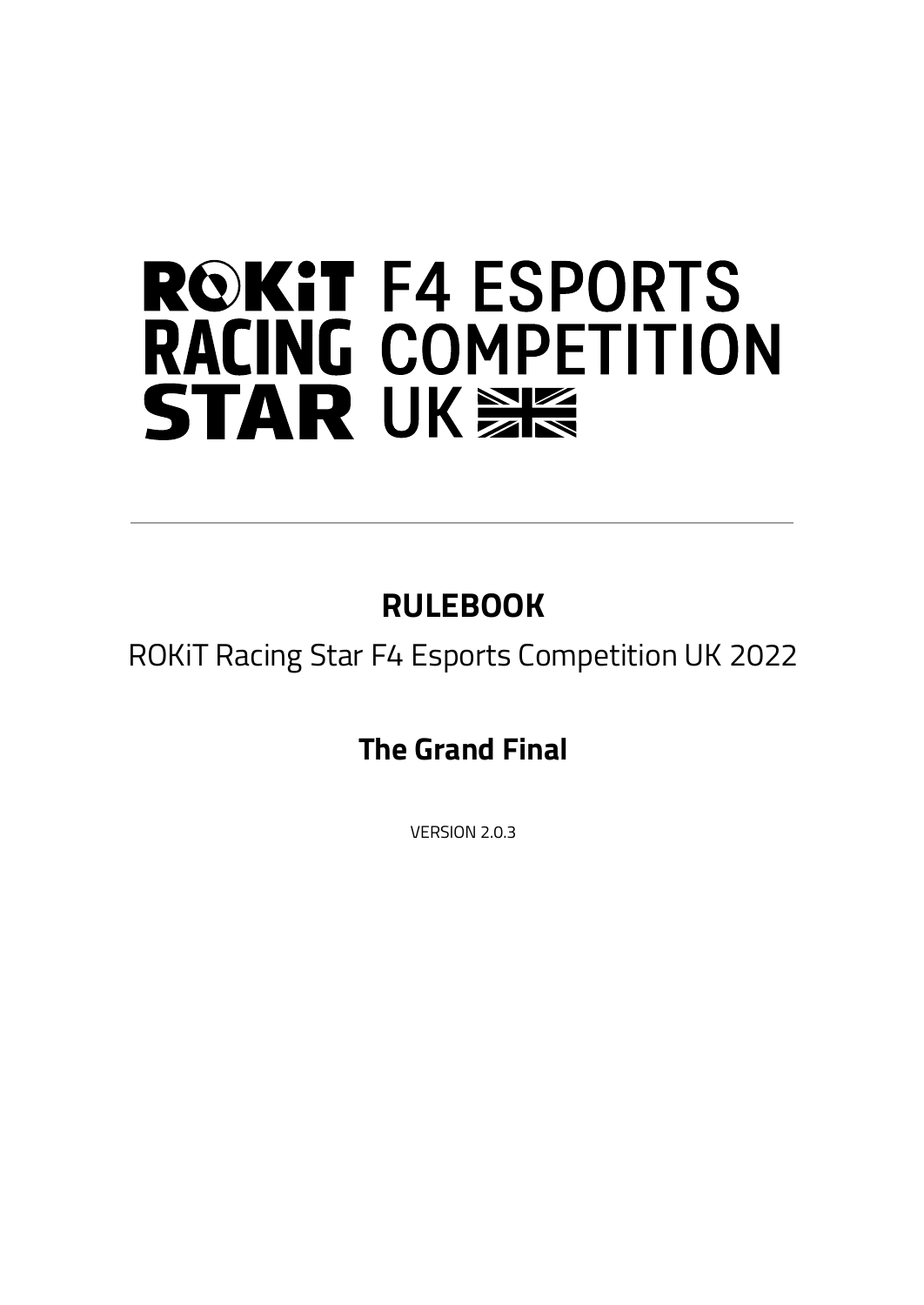# **ROKIT F4 ESPORTS RACING COMPETITION STAR UKSE**

## **RULEBOOK**

ROKiT Racing Star F4 Esports Competition UK 2022

**The Grand Final**

VERSION 2.0.3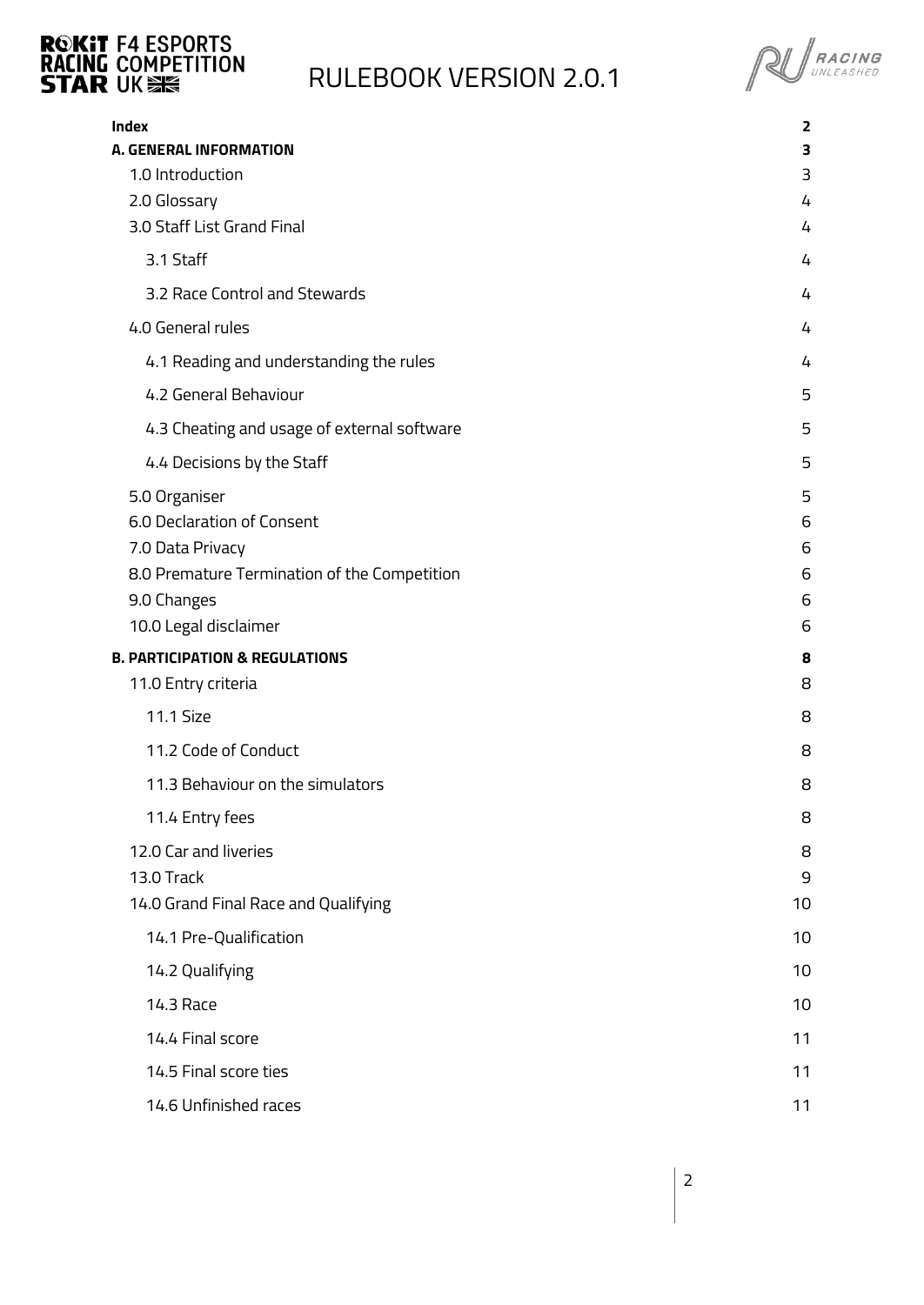

**PU** RACING

<span id="page-1-0"></span>

| Index                                        | 2  |
|----------------------------------------------|----|
| <b>A. GENERAL INFORMATION</b>                | з  |
| 1.0 Introduction                             | 3  |
| 2.0 Glossary                                 | 4  |
| 3.0 Staff List Grand Final                   | 4  |
| 3.1 Staff                                    | 4  |
| 3.2 Race Control and Stewards                | 4  |
| 4.0 General rules                            | 4  |
| 4.1 Reading and understanding the rules      | 4  |
| 4.2 General Behaviour                        | 5  |
| 4.3 Cheating and usage of external software  | 5  |
| 4.4 Decisions by the Staff                   | 5  |
| 5.0 Organiser                                | 5  |
| 6.0 Declaration of Consent                   | 6  |
| 7.0 Data Privacy                             | 6  |
| 8.0 Premature Termination of the Competition | 6  |
| 9.0 Changes                                  | 6  |
| 10.0 Legal disclaimer                        | 6  |
| <b>B. PARTICIPATION &amp; REGULATIONS</b>    | 8  |
| 11.0 Entry criteria                          | 8  |
| 11.1 Size                                    | 8  |
| 11.2 Code of Conduct                         | 8  |
| 11.3 Behaviour on the simulators             | 8  |
| 11.4 Entry fees                              | 8  |
| 12.0 Car and liveries                        | 8  |
| 13.0 Track                                   | 9  |
| 14.0 Grand Final Race and Qualifying         | 10 |
| 14.1 Pre-Qualification                       | 10 |
| 14.2 Qualifying                              | 10 |
| 14.3 Race                                    | 10 |
| 14.4 Final score                             | 11 |
| 14.5 Final score ties                        | 11 |
| 14.6 Unfinished races                        | 11 |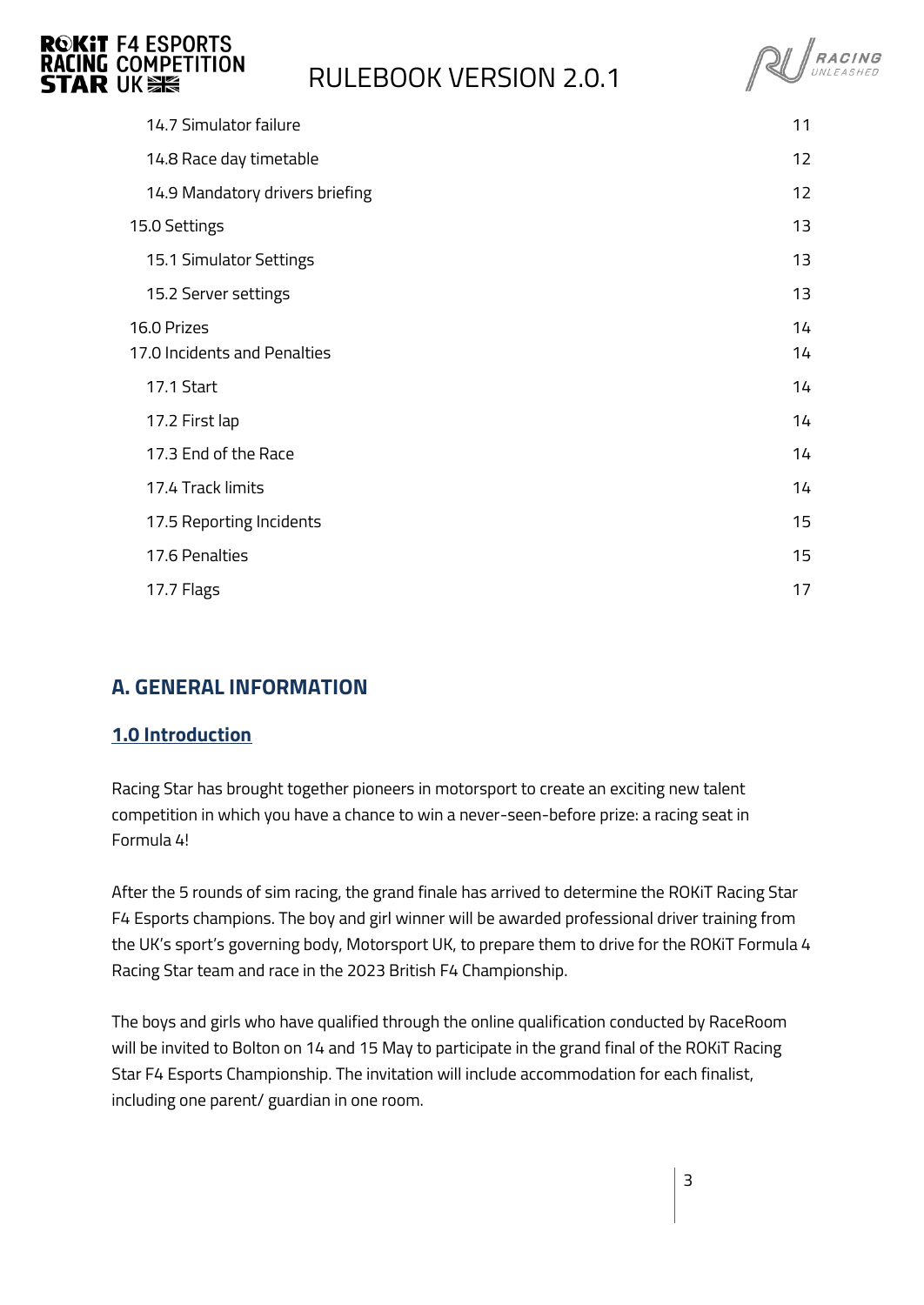

**RU** RACING

| 14.7 Simulator failure          | 11 |
|---------------------------------|----|
| 14.8 Race day timetable         | 12 |
| 14.9 Mandatory drivers briefing | 12 |
| 15.0 Settings                   | 13 |
| 15.1 Simulator Settings         | 13 |
| 15.2 Server settings            | 13 |
| 16.0 Prizes                     | 14 |
| 17.0 Incidents and Penalties    | 14 |
| 17.1 Start                      | 14 |
| 17.2 First lap                  | 14 |
| 17.3 End of the Race            | 14 |
| 17.4 Track limits               | 14 |
| 17.5 Reporting Incidents        | 15 |
| 17.6 Penalties                  | 15 |
| 17.7 Flags                      | 17 |
|                                 |    |

### <span id="page-2-0"></span>**A. GENERAL INFORMATION**

#### <span id="page-2-1"></span>**1.0 Introduction**

Racing Star has brought together pioneers in motorsport to create an exciting new talent competition in which you have a chance to win a never-seen-before prize: a racing seat in Formula 4!

After the 5 rounds of sim racing, the grand finale has arrived to determine the ROKiT Racing Star F4 Esports champions. The boy and girl winner will be awarded professional driver training from the UK's sport's governing body, Motorsport UK, to prepare them to drive for the ROKiT Formula 4 Racing Star team and race in the 2023 British F4 Championship.

The boys and girls who have qualified through the online qualification conducted by RaceRoom will be invited to Bolton on 14 and 15 May to participate in the grand final of the ROKiT Racing Star F4 Esports Championship. The invitation will include accommodation for each finalist, including one parent/ guardian in one room.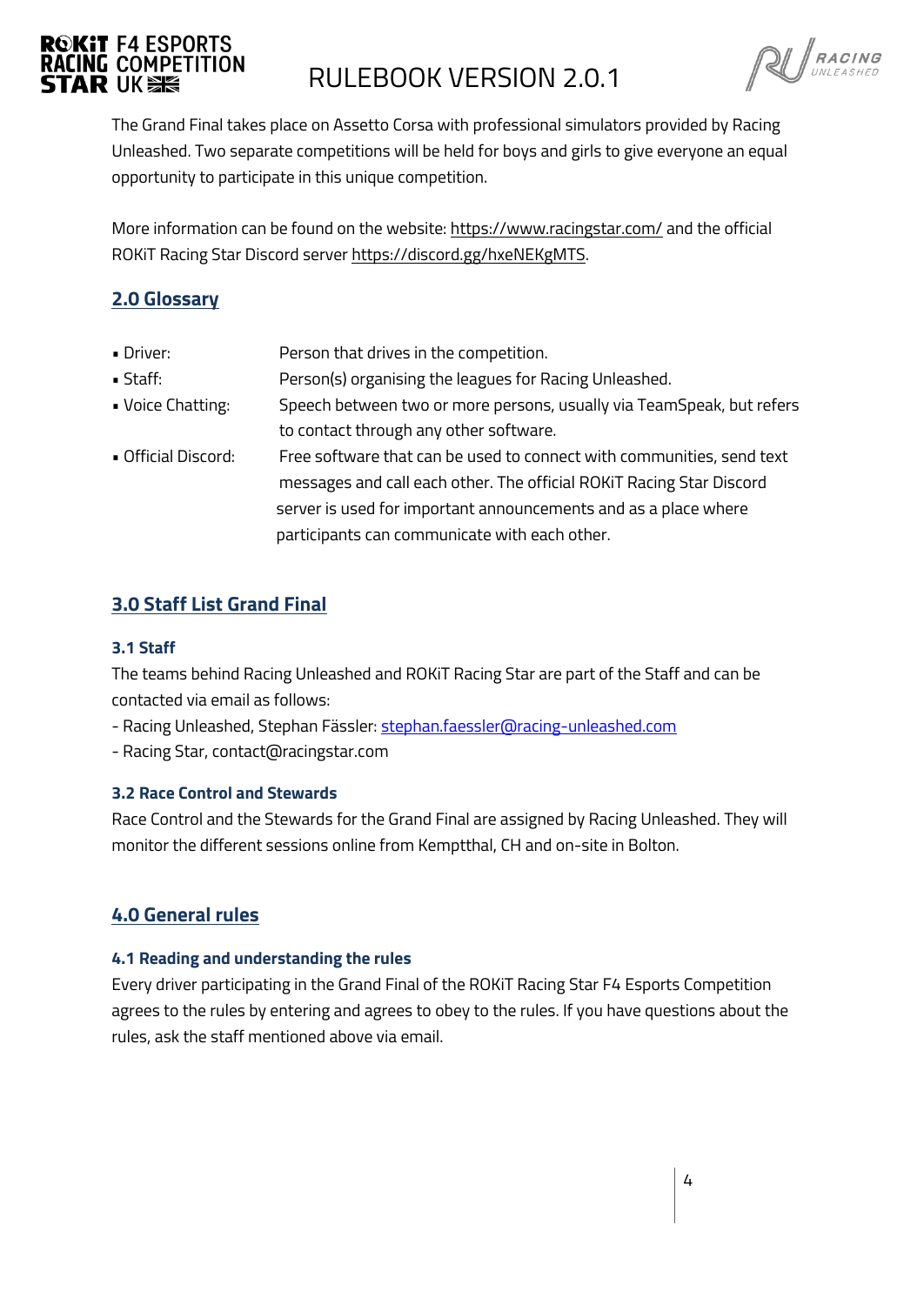# **ROKIT F4 ESPORTS**

## **RACING COMPETITION**<br>**STAR** UK **SK**

**RU** RACING

The Grand Final takes place on Assetto Corsa with professional simulators provided by Racing Unleashed. Two separate competitions will be held for boys and girls to give everyone an equal opportunity to participate in this unique competition.

More information can be found on the website[: https://www.racingstar.com/](https://www.racingstar.com/) and the official ROKiT Racing Star Discord server [https://discord.gg/hxeNEKgMTS.](https://discord.gg/hxeNEKgMTS) 

### <span id="page-3-0"></span>**2.0 Glossary**

- Driver: Person that drives in the competition.
- Staff: Person(s) organising the leagues for Racing Unleashed.
- Voice Chatting: Speech between two or more persons, usually via TeamSpeak, but refers to contact through any other software.
- Official Discord: Free software that can be used to connect with communities, send text messages and call each other. The official ROKiT Racing Star Discord server is used for important announcements and as a place where participants can communicate with each other.

### <span id="page-3-1"></span>**3.0 Staff List Grand Final**

#### <span id="page-3-2"></span>**3.1 Staff**

The teams behind Racing Unleashed and ROKiT Racing Star are part of the Staff and can be contacted via email as follows:

- Racing Unleashed, Stephan Fässler[: stephan.faessler@racing-unleashed.com](mailto:stephan.faessler@racing-unleashed.com)
- Racing Star, contact@racingstar.com

#### <span id="page-3-3"></span>**3.2 Race Control and Stewards**

Race Control and the Stewards for the Grand Final are assigned by Racing Unleashed. They will monitor the different sessions online from Kemptthal, CH and on-site in Bolton.

### <span id="page-3-4"></span>**4.0 General rules**

#### <span id="page-3-5"></span>**4.1 Reading and understanding the rules**

Every driver participating in the Grand Final of the ROKiT Racing Star F4 Esports Competition agrees to the rules by entering and agrees to obey to the rules. If you have questions about the rules, ask the staff mentioned above via email.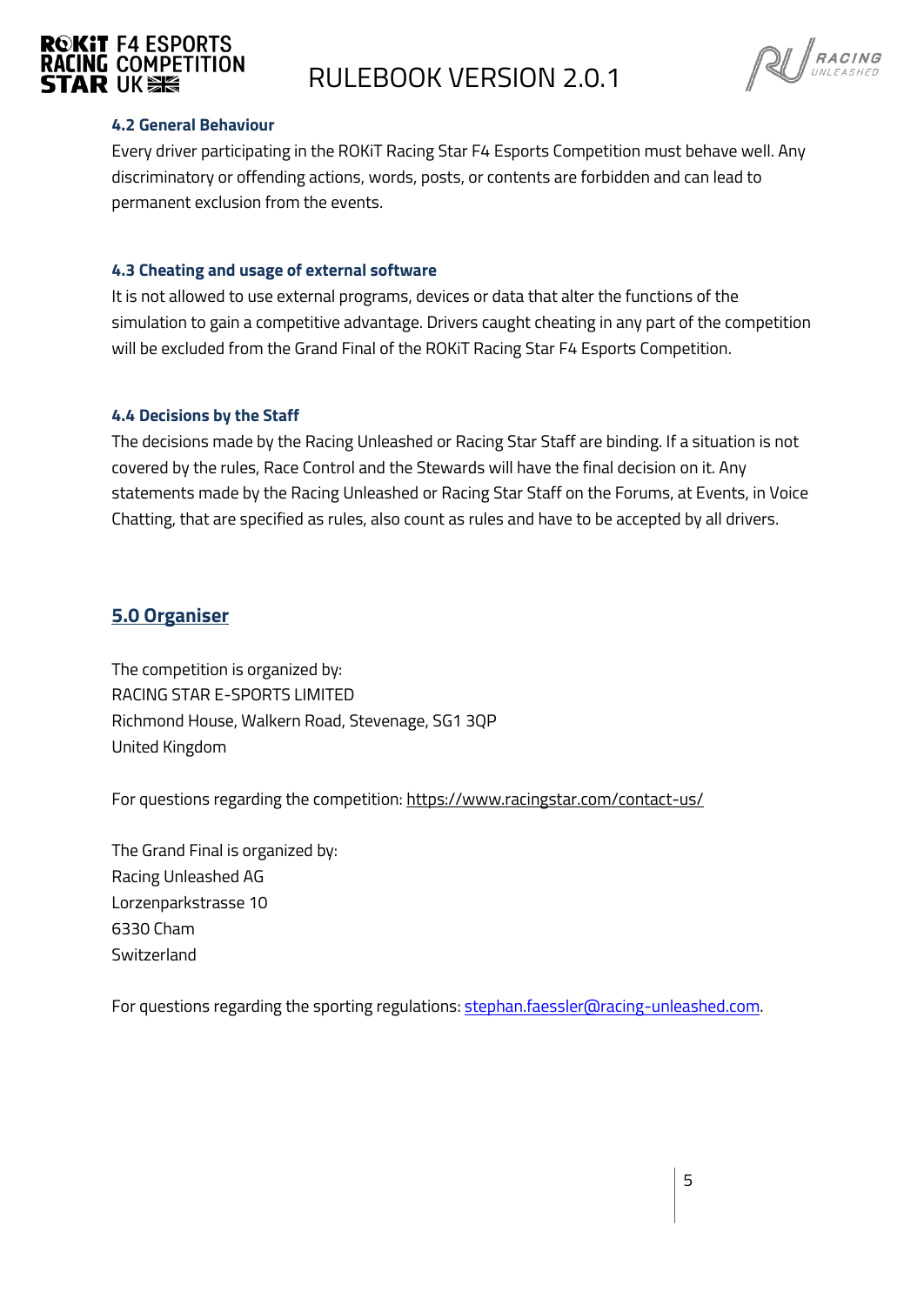

### **RACING COMPETITION**<br>STAR IIK SE

**RU** RACING

#### <span id="page-4-0"></span>**4.2 General Behaviour**

Every driver participating in the ROKiT Racing Star F4 Esports Competition must behave well. Any discriminatory or offending actions, words, posts, or contents are forbidden and can lead to permanent exclusion from the events.

#### <span id="page-4-1"></span>**4.3 Cheating and usage of external software**

It is not allowed to use external programs, devices or data that alter the functions of the simulation to gain a competitive advantage. Drivers caught cheating in any part of the competition will be excluded from the Grand Final of the ROKiT Racing Star F4 Esports Competition.

#### <span id="page-4-2"></span>**4.4 Decisions by the Staff**

The decisions made by the Racing Unleashed or Racing Star Staff are binding. If a situation is not covered by the rules, Race Control and the Stewards will have the final decision on it. Any statements made by the Racing Unleashed or Racing Star Staff on the Forums, at Events, in Voice Chatting, that are specified as rules, also count as rules and have to be accepted by all drivers.

#### <span id="page-4-3"></span>**5.0 Organiser**

The competition is organized by: RACING STAR E-SPORTS LIMITED Richmond House, Walkern Road, Stevenage, SG1 3QP United Kingdom

For questions regarding the competition: <https://www.racingstar.com/contact-us/>

The Grand Final is organized by: Racing Unleashed AG Lorzenparkstrasse 10 6330 Cham **Switzerland** 

For questions regarding the sporting regulations: [stephan.faessler@racing-unleashed.com.](mailto:stephan.faessler@racing-unleashed.com)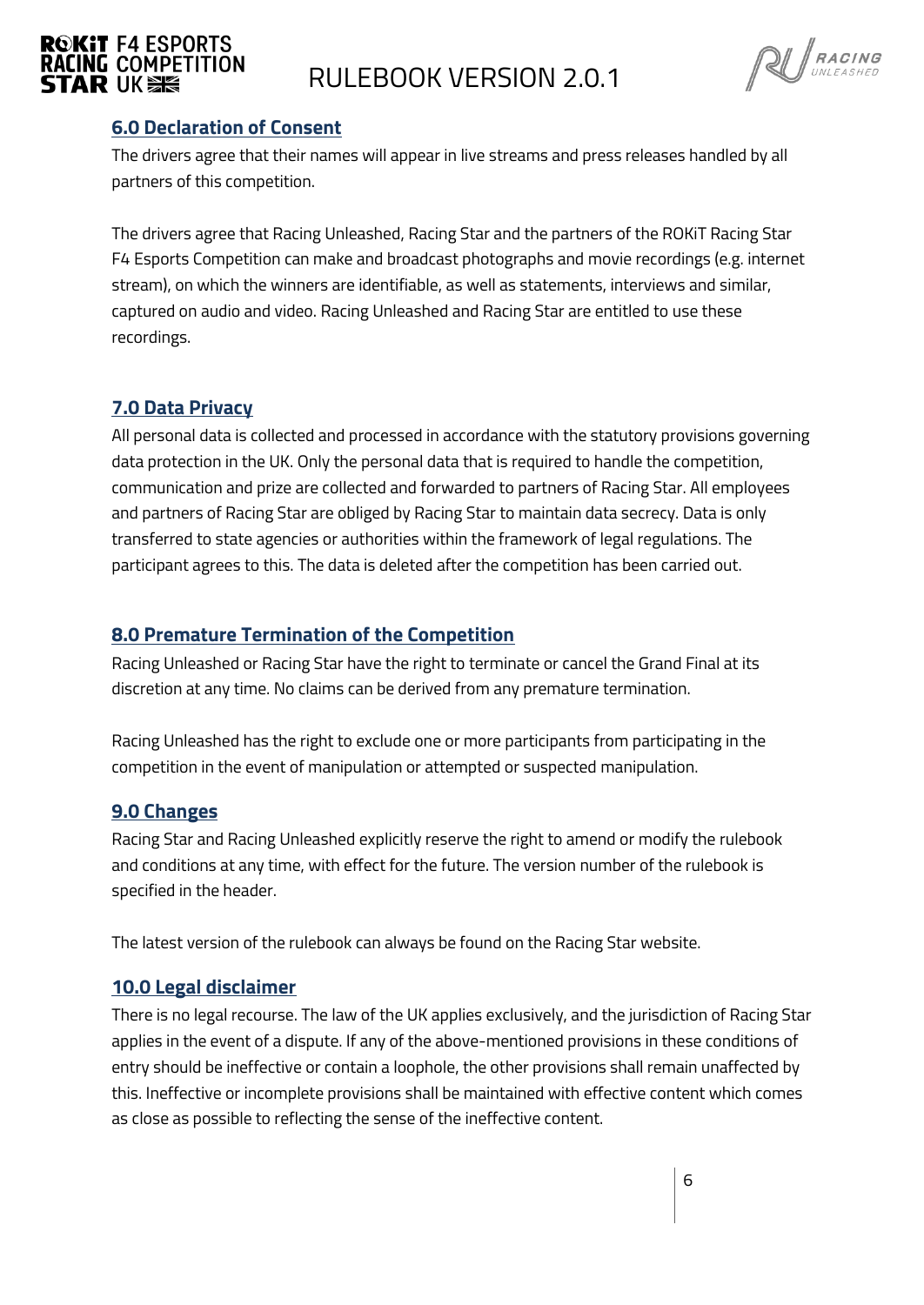

$$
\text{R} \cup \text{R} \text{ACING} \atop \text{UNLEASHED}
$$

#### <span id="page-5-0"></span>**6.0 Declaration of Consent**

The drivers agree that their names will appear in live streams and press releases handled by all partners of this competition.

The drivers agree that Racing Unleashed, Racing Star and the partners of the ROKiT Racing Star F4 Esports Competition can make and broadcast photographs and movie recordings (e.g. internet stream), on which the winners are identifiable, as well as statements, interviews and similar, captured on audio and video. Racing Unleashed and Racing Star are entitled to use these recordings.

#### <span id="page-5-1"></span>**7.0 Data Privacy**

All personal data is collected and processed in accordance with the statutory provisions governing data protection in the UK. Only the personal data that is required to handle the competition, communication and prize are collected and forwarded to partners of Racing Star. All employees and partners of Racing Star are obliged by Racing Star to maintain data secrecy. Data is only transferred to state agencies or authorities within the framework of legal regulations. The participant agrees to this. The data is deleted after the competition has been carried out.

#### <span id="page-5-2"></span>**8.0 Premature Termination of the Competition**

Racing Unleashed or Racing Star have the right to terminate or cancel the Grand Final at its discretion at any time. No claims can be derived from any premature termination.

Racing Unleashed has the right to exclude one or more participants from participating in the competition in the event of manipulation or attempted or suspected manipulation.

#### <span id="page-5-3"></span>**9.0 Changes**

Racing Star and Racing Unleashed explicitly reserve the right to amend or modify the rulebook and conditions at any time, with effect for the future. The version number of the rulebook is specified in the header.

<span id="page-5-4"></span>The latest version of the rulebook can always be found on the Racing Star website.

#### **10.0 Legal disclaimer**

There is no legal recourse. The law of the UK applies exclusively, and the jurisdiction of Racing Star applies in the event of a dispute. If any of the above-mentioned provisions in these conditions of entry should be ineffective or contain a loophole, the other provisions shall remain unaffected by this. Ineffective or incomplete provisions shall be maintained with effective content which comes as close as possible to reflecting the sense of the ineffective content.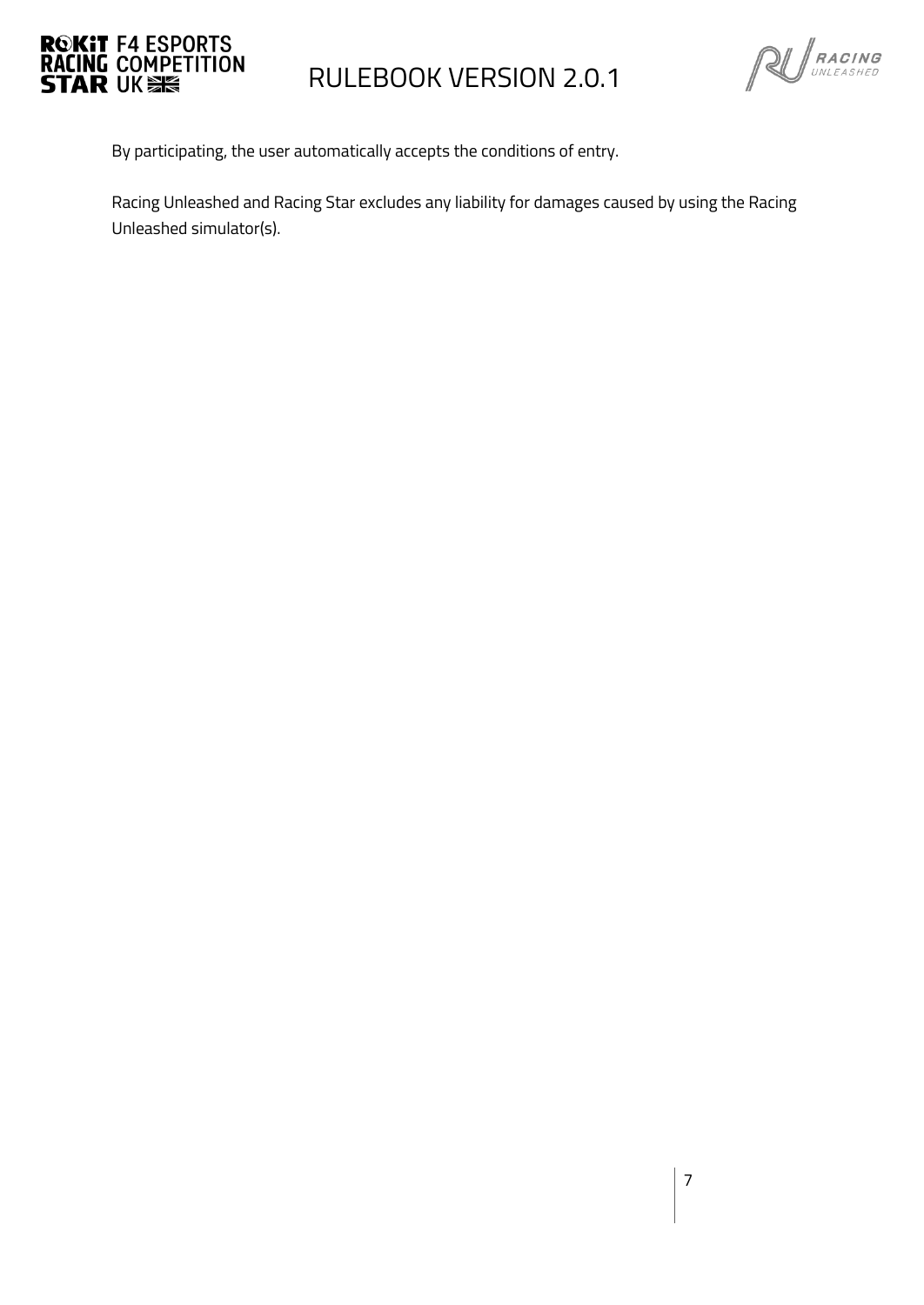



By participating, the user automatically accepts the conditions of entry.

Racing Unleashed and Racing Star excludes any liability for damages caused by using the Racing Unleashed simulator(s).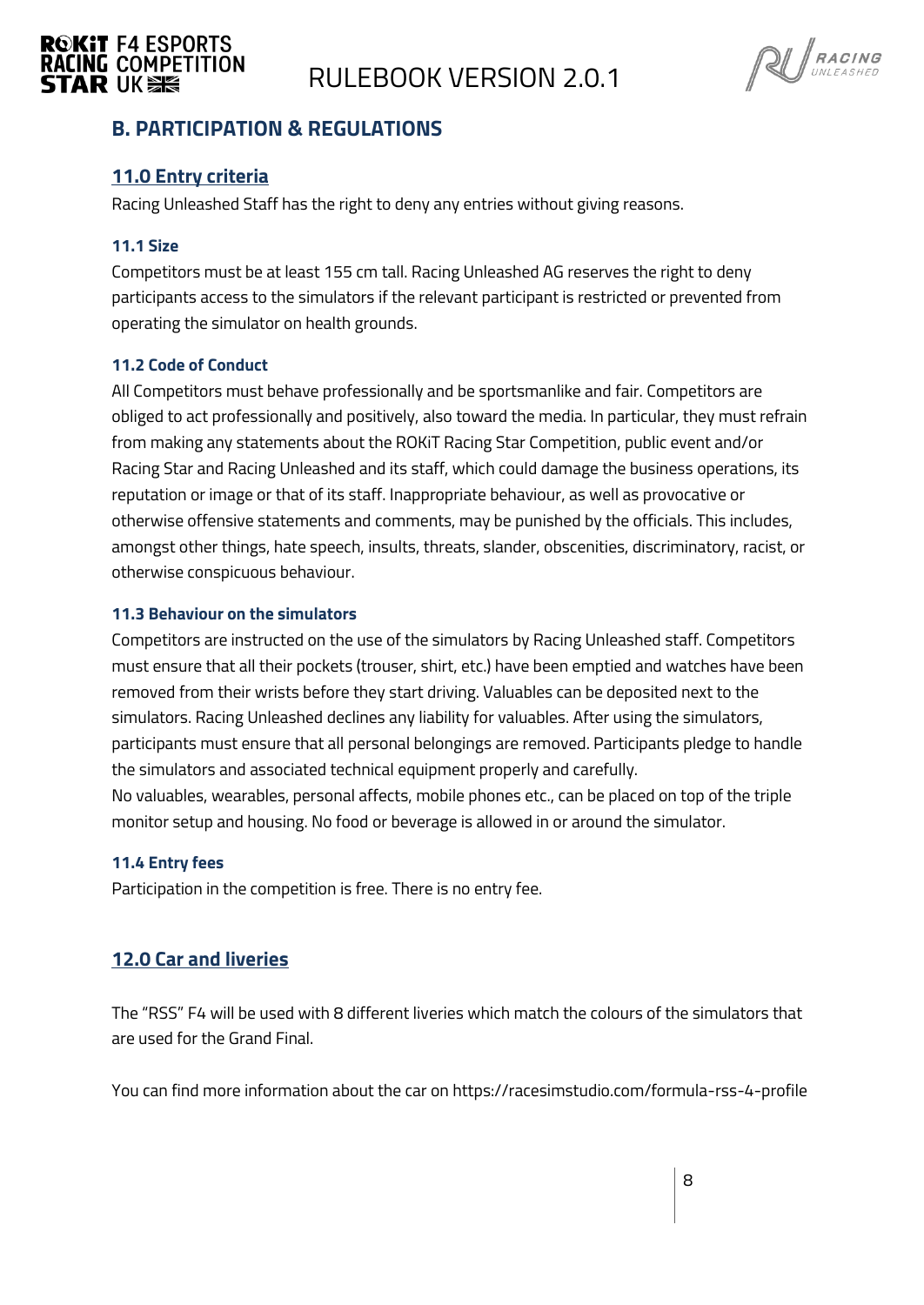

### **RACING COMPETITION**<br>**STAR** UK **SK**



#### <span id="page-7-0"></span>**B. PARTICIPATION & REGULATIONS**

#### <span id="page-7-1"></span>**11.0 Entry criteria**

Racing Unleashed Staff has the right to deny any entries without giving reasons.

#### <span id="page-7-2"></span>**11.1 Size**

Competitors must be at least 155 cm tall. Racing Unleashed AG reserves the right to deny participants access to the simulators if the relevant participant is restricted or prevented from operating the simulator on health grounds.

#### <span id="page-7-3"></span>**11.2 Code of Conduct**

All Competitors must behave professionally and be sportsmanlike and fair. Competitors are obliged to act professionally and positively, also toward the media. In particular, they must refrain from making any statements about the ROKiT Racing Star Competition, public event and/or Racing Star and Racing Unleashed and its staff, which could damage the business operations, its reputation or image or that of its staff. Inappropriate behaviour, as well as provocative or otherwise offensive statements and comments, may be punished by the officials. This includes, amongst other things, hate speech, insults, threats, slander, obscenities, discriminatory, racist, or otherwise conspicuous behaviour.

#### <span id="page-7-4"></span>**11.3 Behaviour on the simulators**

Competitors are instructed on the use of the simulators by Racing Unleashed staff. Competitors must ensure that all their pockets (trouser, shirt, etc.) have been emptied and watches have been removed from their wrists before they start driving. Valuables can be deposited next to the simulators. Racing Unleashed declines any liability for valuables. After using the simulators, participants must ensure that all personal belongings are removed. Participants pledge to handle the simulators and associated technical equipment properly and carefully. No valuables, wearables, personal affects, mobile phones etc., can be placed on top of the triple monitor setup and housing. No food or beverage is allowed in or around the simulator.

#### <span id="page-7-5"></span>**11.4 Entry fees**

Participation in the competition is free. There is no entry fee.

#### <span id="page-7-6"></span>**12.0 Car and liveries**

The "RSS" F4 will be used with 8 different liveries which match the colours of the simulators that are used for the Grand Final.

You can find more information about the car on https://racesimstudio.com/formula-rss-4-profile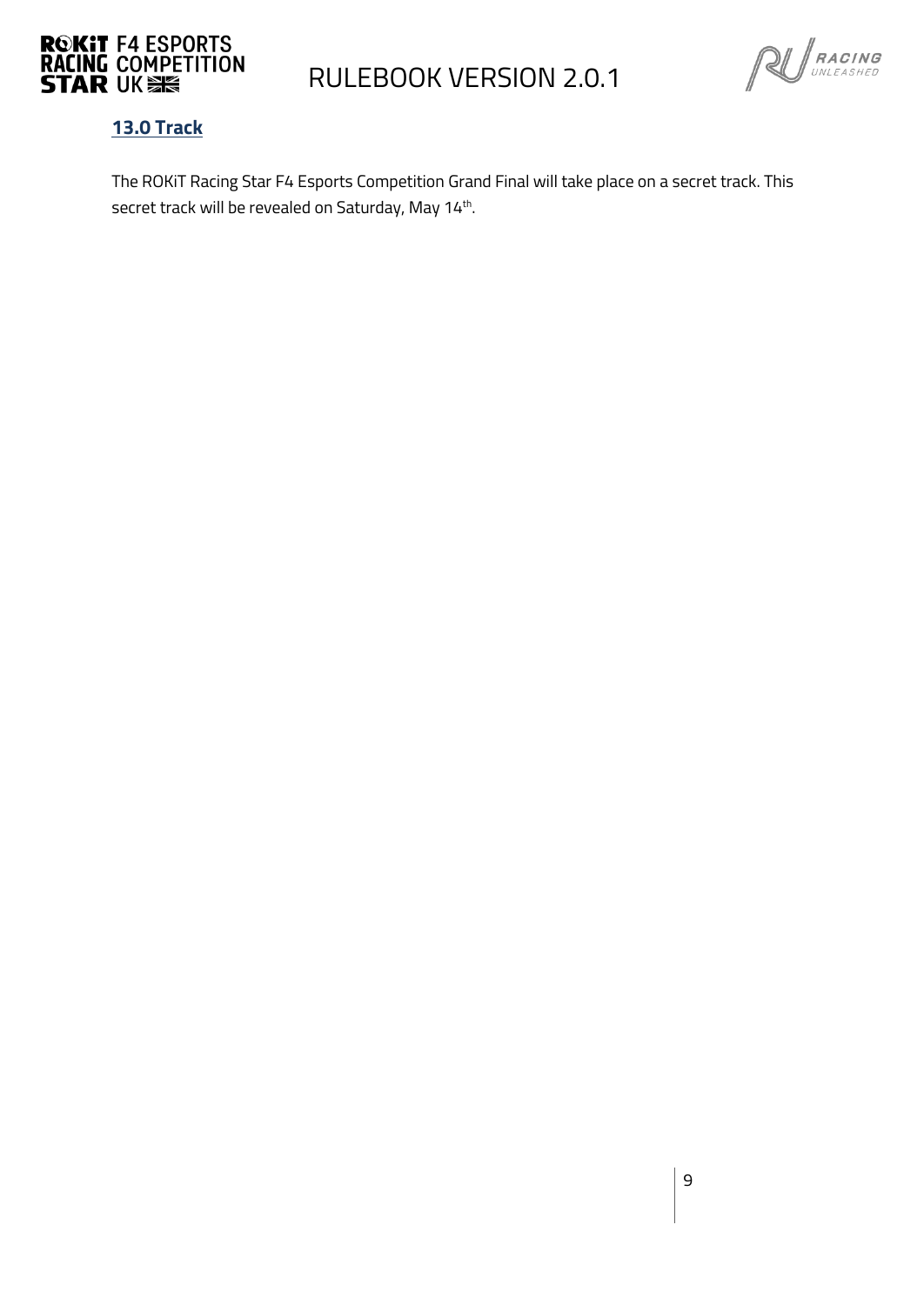



#### <span id="page-8-0"></span>**13.0 Track**

The ROKiT Racing Star F4 Esports Competition Grand Final will take place on a secret track. This secret track will be revealed on Saturday, May 14th.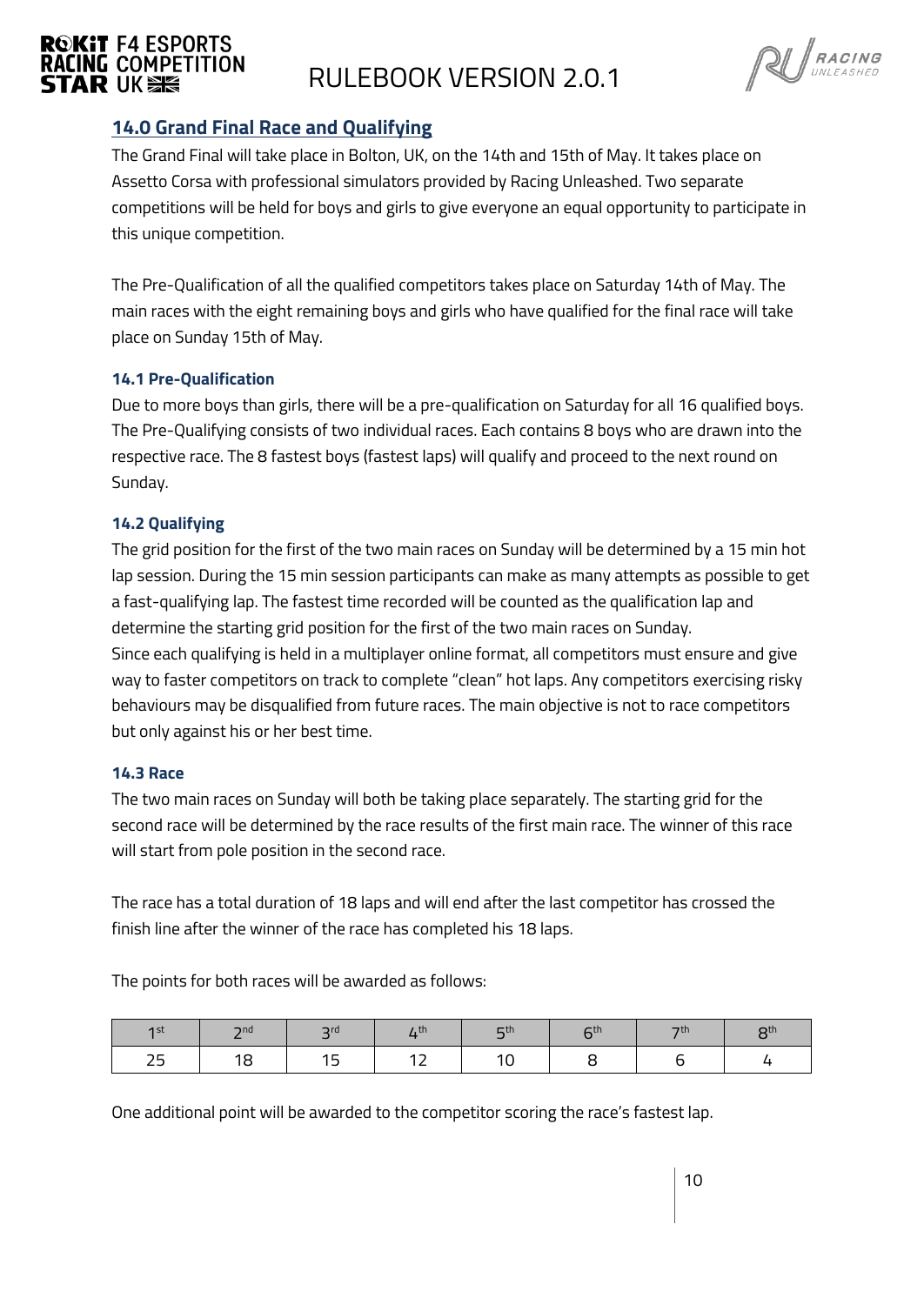

$$
\text{R} \cup \text{R} \text{ACING} \atop \text{UNLEASHED}
$$

#### <span id="page-9-0"></span>**14.0 Grand Final Race and Qualifying**

The Grand Final will take place in Bolton, UK, on the 14th and 15th of May. It takes place on Assetto Corsa with professional simulators provided by Racing Unleashed. Two separate competitions will be held for boys and girls to give everyone an equal opportunity to participate in this unique competition.

The Pre-Qualification of all the qualified competitors takes place on Saturday 14th of May. The main races with the eight remaining boys and girls who have qualified for the final race will take place on Sunday 15th of May.

#### <span id="page-9-1"></span>**14.1 Pre-Qualification**

Due to more boys than girls, there will be a pre-qualification on Saturday for all 16 qualified boys. The Pre-Qualifying consists of two individual races. Each contains 8 boys who are drawn into the respective race. The 8 fastest boys (fastest laps) will qualify and proceed to the next round on Sunday.

#### <span id="page-9-2"></span>**14.2 Qualifying**

The grid position for the first of the two main races on Sunday will be determined by a 15 min hot lap session. During the 15 min session participants can make as many attempts as possible to get a fast-qualifying lap. The fastest time recorded will be counted as the qualification lap and determine the starting grid position for the first of the two main races on Sunday. Since each qualifying is held in a multiplayer online format, all competitors must ensure and give way to faster competitors on track to complete "clean" hot laps. Any competitors exercising risky behaviours may be disqualified from future races. The main objective is not to race competitors but only against his or her best time.

#### <span id="page-9-3"></span>**14.3 Race**

The two main races on Sunday will both be taking place separately. The starting grid for the second race will be determined by the race results of the first main race. The winner of this race will start from pole position in the second race.

The race has a total duration of 18 laps and will end after the last competitor has crossed the finish line after the winner of the race has completed his 18 laps.

The points for both races will be awarded as follows:

| $\overline{1}$ st | $\neg$ nd | $\mathsf{C}$ | $\overline{I}$ . En | <b>口th</b> | ctn | oth. | o <sub>th</sub> |
|-------------------|-----------|--------------|---------------------|------------|-----|------|-----------------|
| つに<br>رے          | 1 C<br>ີ  |              | . .                 |            |     |      |                 |

One additional point will be awarded to the competitor scoring the race's fastest lap.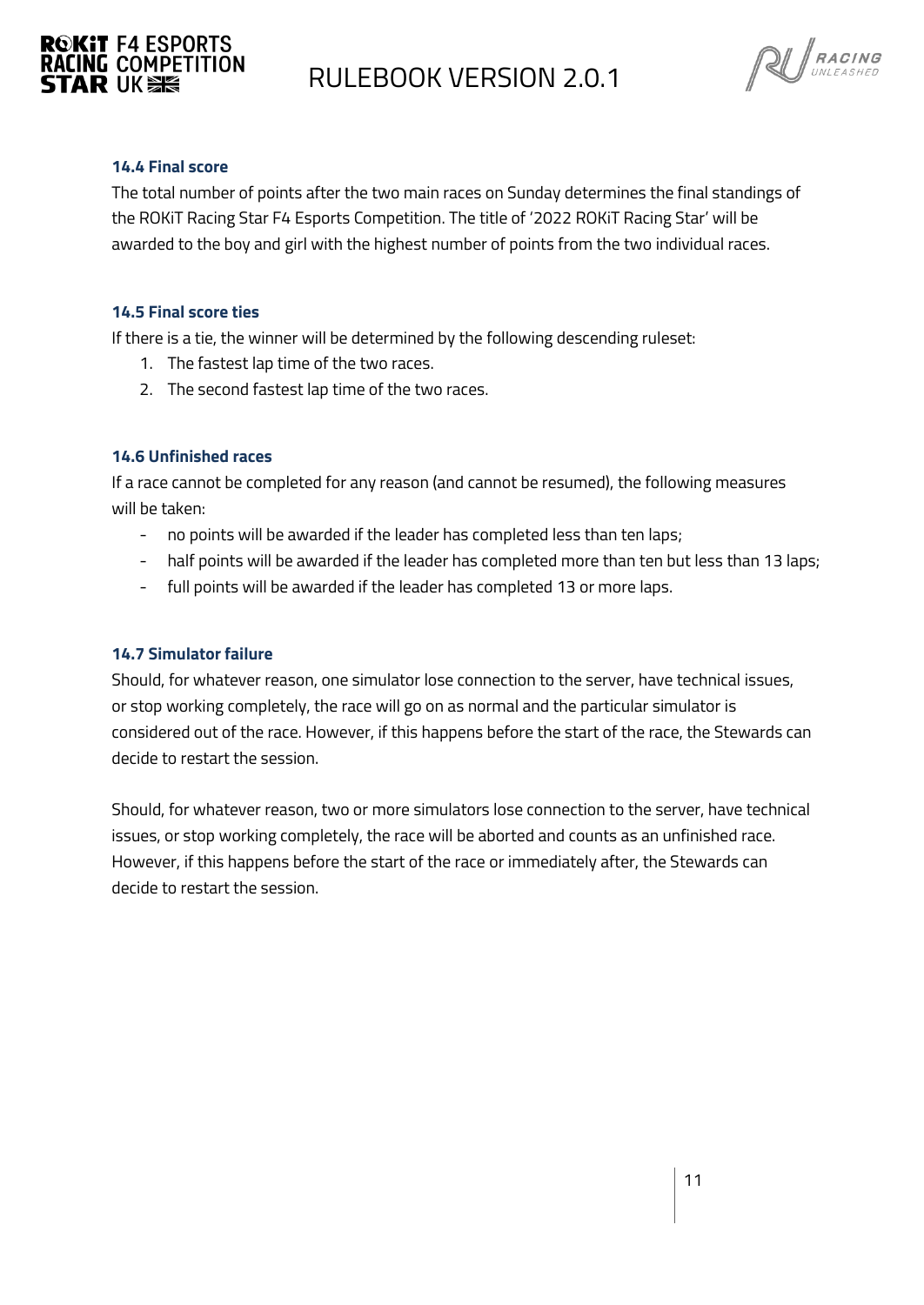



#### <span id="page-10-0"></span>**14.4 Final score**

The total number of points after the two main races on Sunday determines the final standings of the ROKiT Racing Star F4 Esports Competition. The title of '2022 ROKiT Racing Star' will be awarded to the boy and girl with the highest number of points from the two individual races.

#### <span id="page-10-1"></span>**14.5 Final score ties**

If there is a tie, the winner will be determined by the following descending ruleset:

- 1. The fastest lap time of the two races.
- 2. The second fastest lap time of the two races.

#### <span id="page-10-2"></span>**14.6 Unfinished races**

If a race cannot be completed for any reason (and cannot be resumed), the following measures will be taken:

- no points will be awarded if the leader has completed less than ten laps;
- half points will be awarded if the leader has completed more than ten but less than 13 laps;
- full points will be awarded if the leader has completed 13 or more laps.

#### <span id="page-10-3"></span>**14.7 Simulator failure**

Should, for whatever reason, one simulator lose connection to the server, have technical issues, or stop working completely, the race will go on as normal and the particular simulator is considered out of the race. However, if this happens before the start of the race, the Stewards can decide to restart the session.

Should, for whatever reason, two or more simulators lose connection to the server, have technical issues, or stop working completely, the race will be aborted and counts as an unfinished race. However, if this happens before the start of the race or immediately after, the Stewards can decide to restart the session.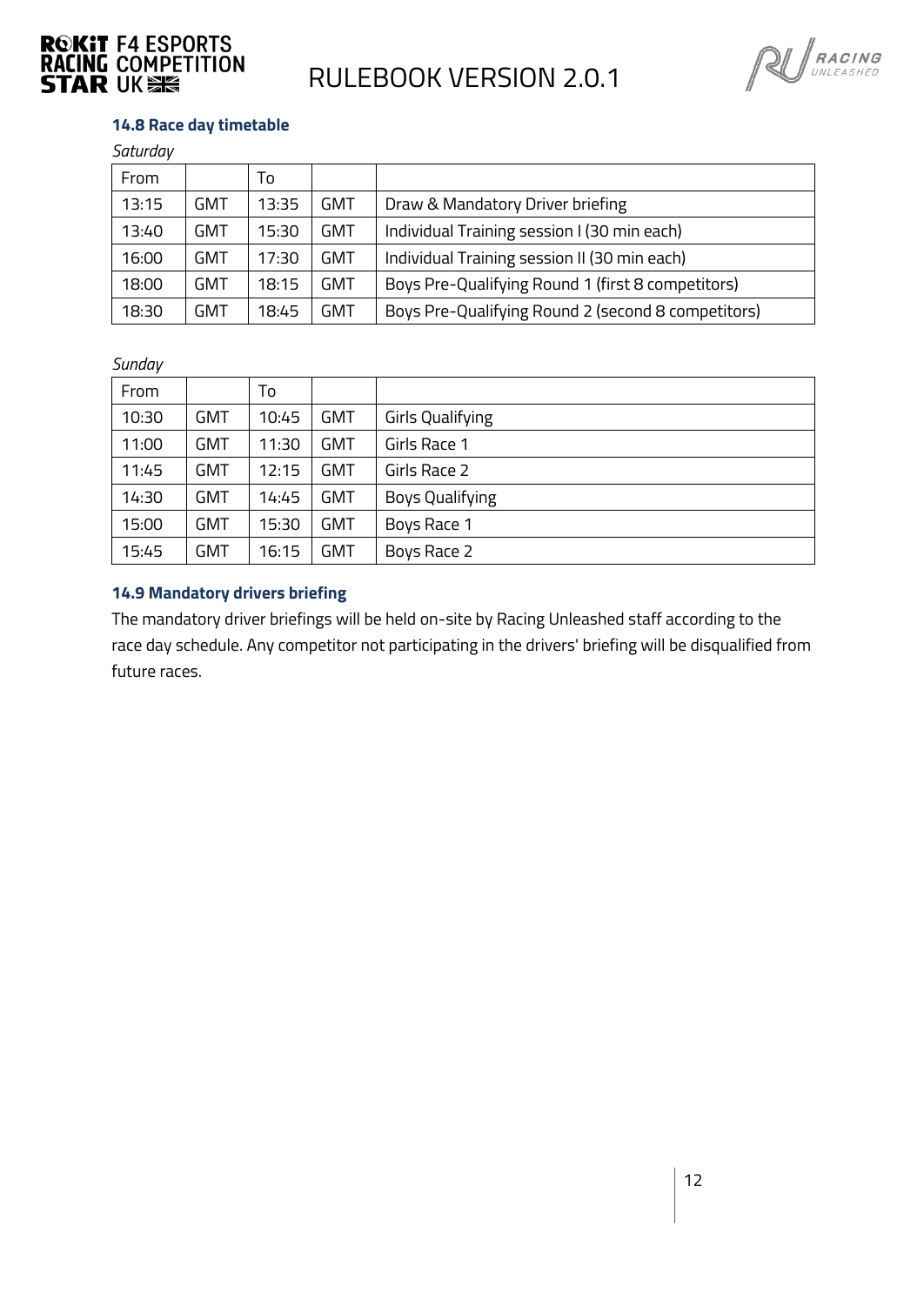



#### <span id="page-11-0"></span>**14.8 Race day timetable**

| Saturday |
|----------|
|----------|

| From  |     | To    |     |                                                    |
|-------|-----|-------|-----|----------------------------------------------------|
| 13:15 | GMT | 13:35 | GMT | Draw & Mandatory Driver briefing                   |
| 13:40 | GMT | 15:30 | GMT | Individual Training session I (30 min each)        |
| 16:00 | GMT | 17:30 | GMT | Individual Training session II (30 min each)       |
| 18:00 | GMT | 18:15 | GMT | Boys Pre-Qualifying Round 1 (first 8 competitors)  |
| 18:30 | GMT | 18:45 | GMT | Boys Pre-Qualifying Round 2 (second 8 competitors) |

#### *Sunday*

| From  |            | To    |            |                         |
|-------|------------|-------|------------|-------------------------|
| 10:30 | <b>GMT</b> | 10:45 | <b>GMT</b> | <b>Girls Qualifying</b> |
| 11:00 | <b>GMT</b> | 11:30 | <b>GMT</b> | Girls Race 1            |
| 11:45 | <b>GMT</b> | 12:15 | GMT        | Girls Race 2            |
| 14:30 | <b>GMT</b> | 14:45 | <b>GMT</b> | <b>Boys Qualifying</b>  |
| 15:00 | <b>GMT</b> | 15:30 | <b>GMT</b> | Boys Race 1             |
| 15:45 | <b>GMT</b> | 16:15 | GMT        | Boys Race 2             |

#### <span id="page-11-1"></span>**14.9 Mandatory drivers briefing**

The mandatory driver briefings will be held on-site by Racing Unleashed staff according to the race day schedule. Any competitor not participating in the drivers' briefing will be disqualified from future races.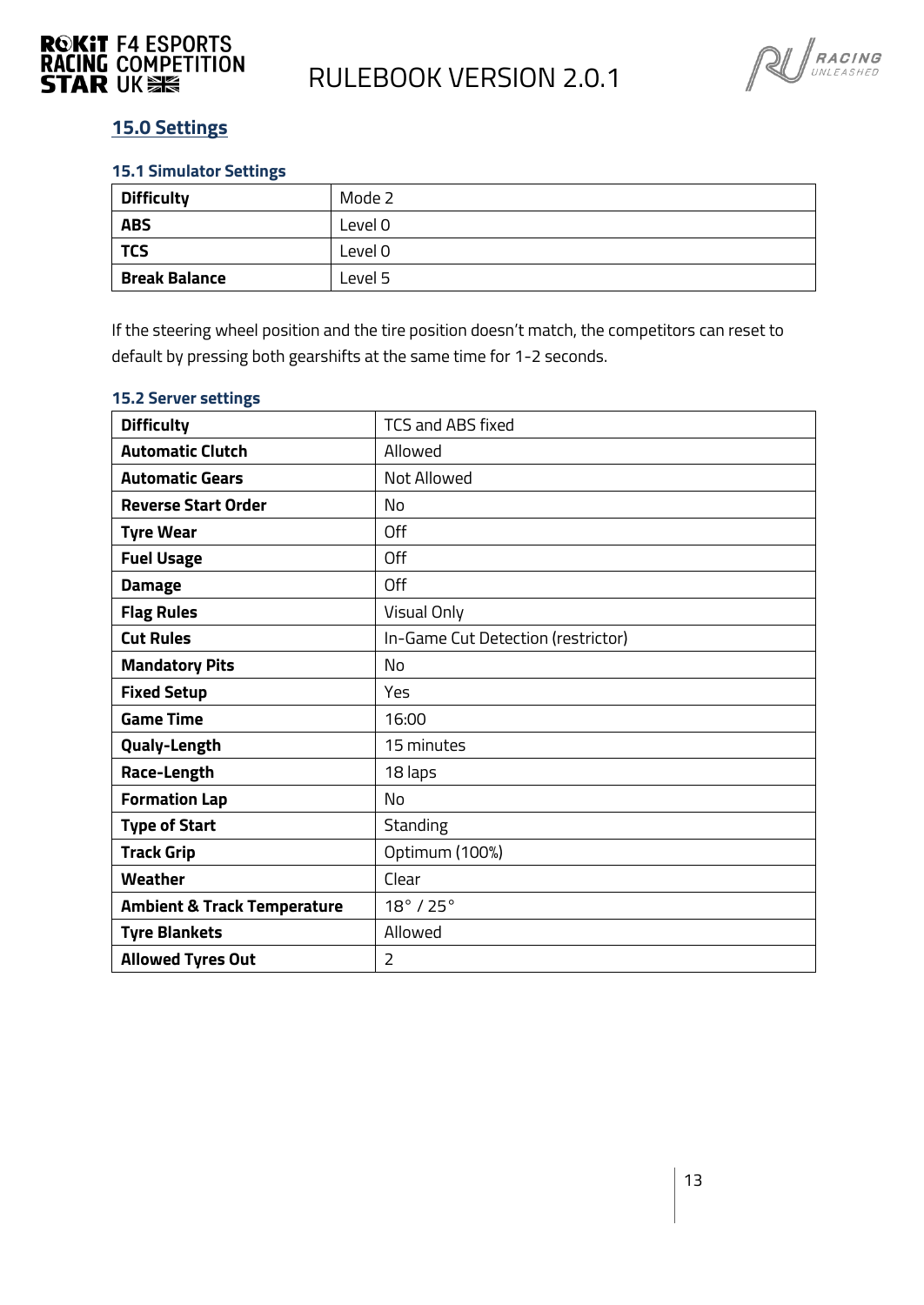



#### <span id="page-12-0"></span>**15.0 Settings**

#### <span id="page-12-1"></span>**15.1 Simulator Settings**

| <b>Difficulty</b>    | Mode 2  |
|----------------------|---------|
| <b>ABS</b>           | Level 0 |
| <b>TCS</b>           | Level 0 |
| <b>Break Balance</b> | Level 5 |

If the steering wheel position and the tire position doesn't match, the competitors can reset to default by pressing both gearshifts at the same time for 1-2 seconds.

| <b>Difficulty</b>                      | <b>TCS and ABS fixed</b>           |
|----------------------------------------|------------------------------------|
| <b>Automatic Clutch</b>                | Allowed                            |
| <b>Automatic Gears</b>                 | Not Allowed                        |
| <b>Reverse Start Order</b>             | No                                 |
| <b>Tyre Wear</b>                       | Off                                |
| <b>Fuel Usage</b>                      | Off                                |
| <b>Damage</b>                          | Off                                |
| <b>Flag Rules</b>                      | Visual Only                        |
| <b>Cut Rules</b>                       | In-Game Cut Detection (restrictor) |
| <b>Mandatory Pits</b>                  | No                                 |
| <b>Fixed Setup</b>                     | Yes                                |
| <b>Game Time</b>                       | 16:00                              |
| <b>Qualy-Length</b>                    | 15 minutes                         |
| Race-Length                            | 18 laps                            |
| <b>Formation Lap</b>                   | No                                 |
| <b>Type of Start</b>                   | <b>Standing</b>                    |
| <b>Track Grip</b>                      | Optimum (100%)                     |
| <b>Weather</b>                         | Clear                              |
| <b>Ambient &amp; Track Temperature</b> | $18^\circ$ / 25 $^\circ$           |
| <b>Tyre Blankets</b>                   | Allowed                            |
| <b>Allowed Tyres Out</b>               | $\overline{2}$                     |

#### <span id="page-12-2"></span>**15.2 Server settings**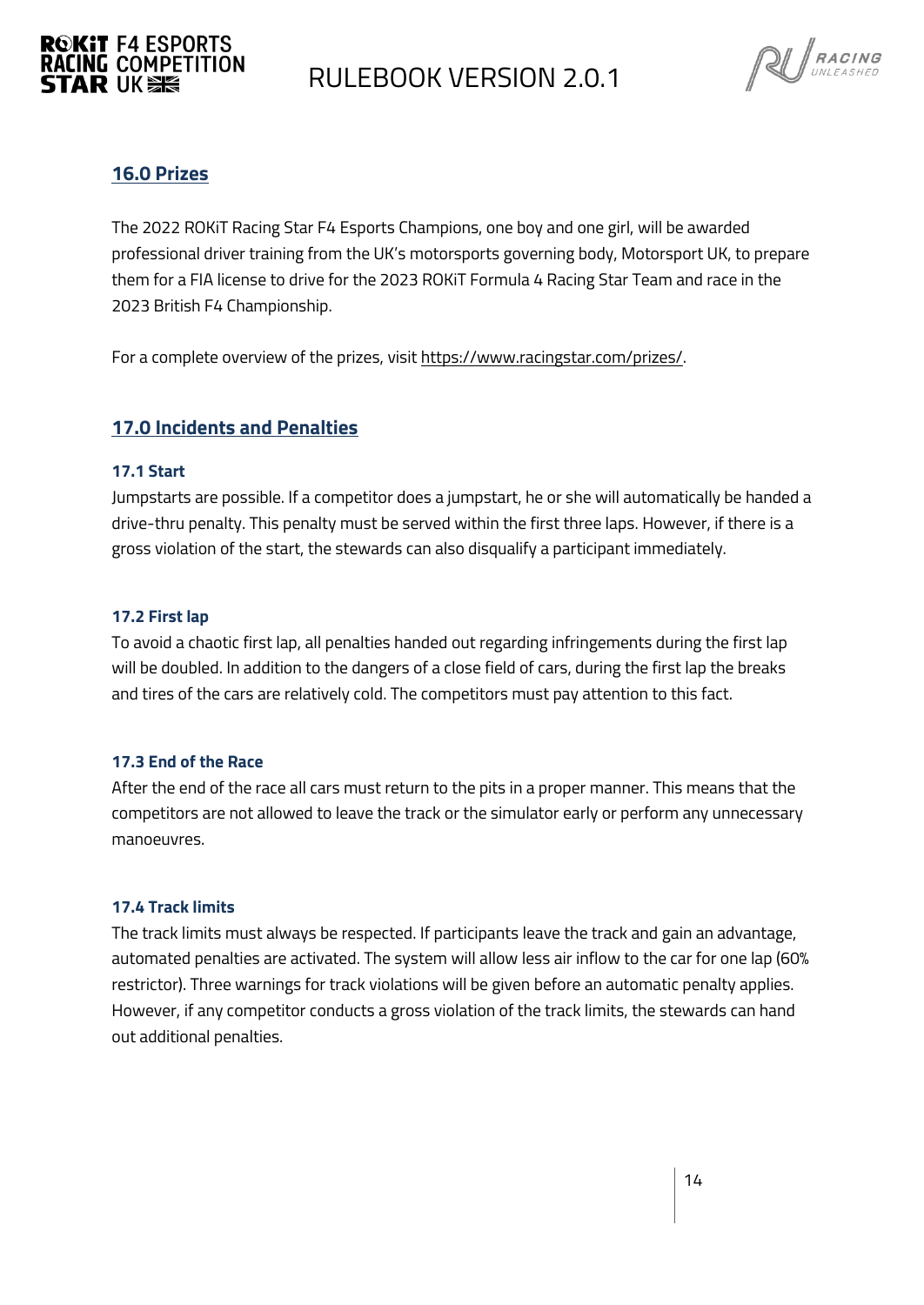## **RACING COMPETITION**<br>STAR IIK SE



#### <span id="page-13-0"></span>**16.0 Prizes**

**ROKIT F4 ESPORTS** 

The 2022 ROKiT Racing Star F4 Esports Champions, one boy and one girl, will be awarded professional driver training from the UK's motorsports governing body, Motorsport UK, to prepare them for a FIA license to drive for the 2023 ROKiT Formula 4 Racing Star Team and race in the 2023 British F4 Championship.

For a complete overview of the prizes, visi[t https://www.racingstar.com/prizes/.](https://www.racingstar.com/prizes/) 

#### <span id="page-13-1"></span>**17.0 Incidents and Penalties**

#### <span id="page-13-2"></span>**17.1 Start**

Jumpstarts are possible. If a competitor does a jumpstart, he or she will automatically be handed a drive-thru penalty. This penalty must be served within the first three laps. However, if there is a gross violation of the start, the stewards can also disqualify a participant immediately.

#### <span id="page-13-3"></span>**17.2 First lap**

To avoid a chaotic first lap, all penalties handed out regarding infringements during the first lap will be doubled. In addition to the dangers of a close field of cars, during the first lap the breaks and tires of the cars are relatively cold. The competitors must pay attention to this fact.

#### <span id="page-13-4"></span>**17.3 End of the Race**

After the end of the race all cars must return to the pits in a proper manner. This means that the competitors are not allowed to leave the track or the simulator early or perform any unnecessary manoeuvres.

#### <span id="page-13-5"></span>**17.4 Track limits**

The track limits must always be respected. If participants leave the track and gain an advantage, automated penalties are activated. The system will allow less air inflow to the car for one lap (60% restrictor). Three warnings for track violations will be given before an automatic penalty applies. However, if any competitor conducts a gross violation of the track limits, the stewards can hand out additional penalties.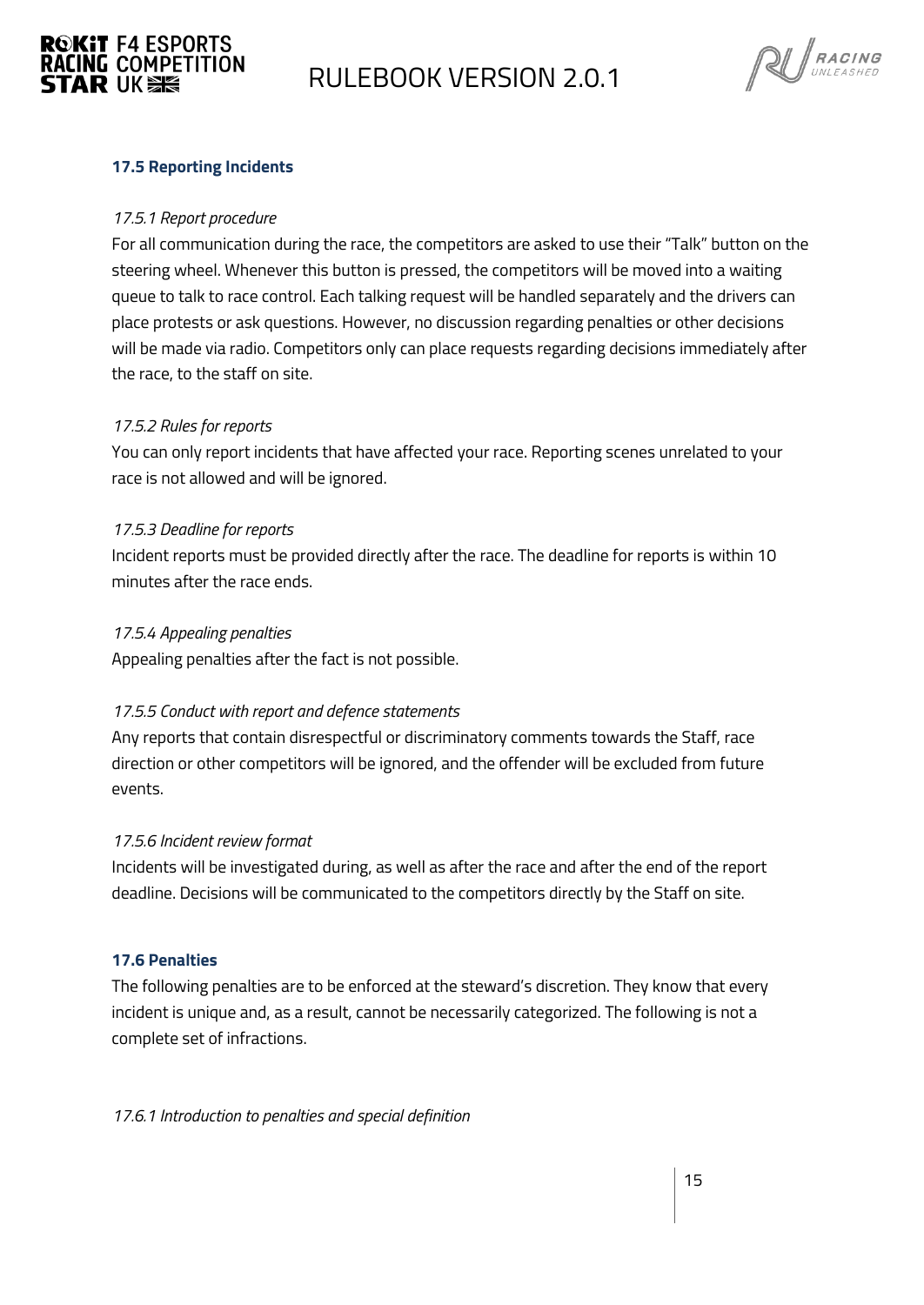



#### <span id="page-14-0"></span>**17.5 Reporting Incidents**

#### *17.5.1 Report procedure*

For all communication during the race, the competitors are asked to use their "Talk" button on the steering wheel. Whenever this button is pressed, the competitors will be moved into a waiting queue to talk to race control. Each talking request will be handled separately and the drivers can place protests or ask questions. However, no discussion regarding penalties or other decisions will be made via radio. Competitors only can place requests regarding decisions immediately after the race, to the staff on site.

#### *17.5.2 Rules for reports*

You can only report incidents that have affected your race. Reporting scenes unrelated to your race is not allowed and will be ignored.

#### *17.5.3 Deadline for reports*

Incident reports must be provided directly after the race. The deadline for reports is within 10 minutes after the race ends.

#### *17.5.4 Appealing penalties*

Appealing penalties after the fact is not possible.

#### *17.5.5 Conduct with report and defence statements*

Any reports that contain disrespectful or discriminatory comments towards the Staff, race direction or other competitors will be ignored, and the offender will be excluded from future events.

#### *17.5.6 Incident review format*

Incidents will be investigated during, as well as after the race and after the end of the report deadline. Decisions will be communicated to the competitors directly by the Staff on site.

#### <span id="page-14-1"></span>**17.6 Penalties**

The following penalties are to be enforced at the steward's discretion. They know that every incident is unique and, as a result, cannot be necessarily categorized. The following is not a complete set of infractions.

*17.6.1 Introduction to penalties and special definition*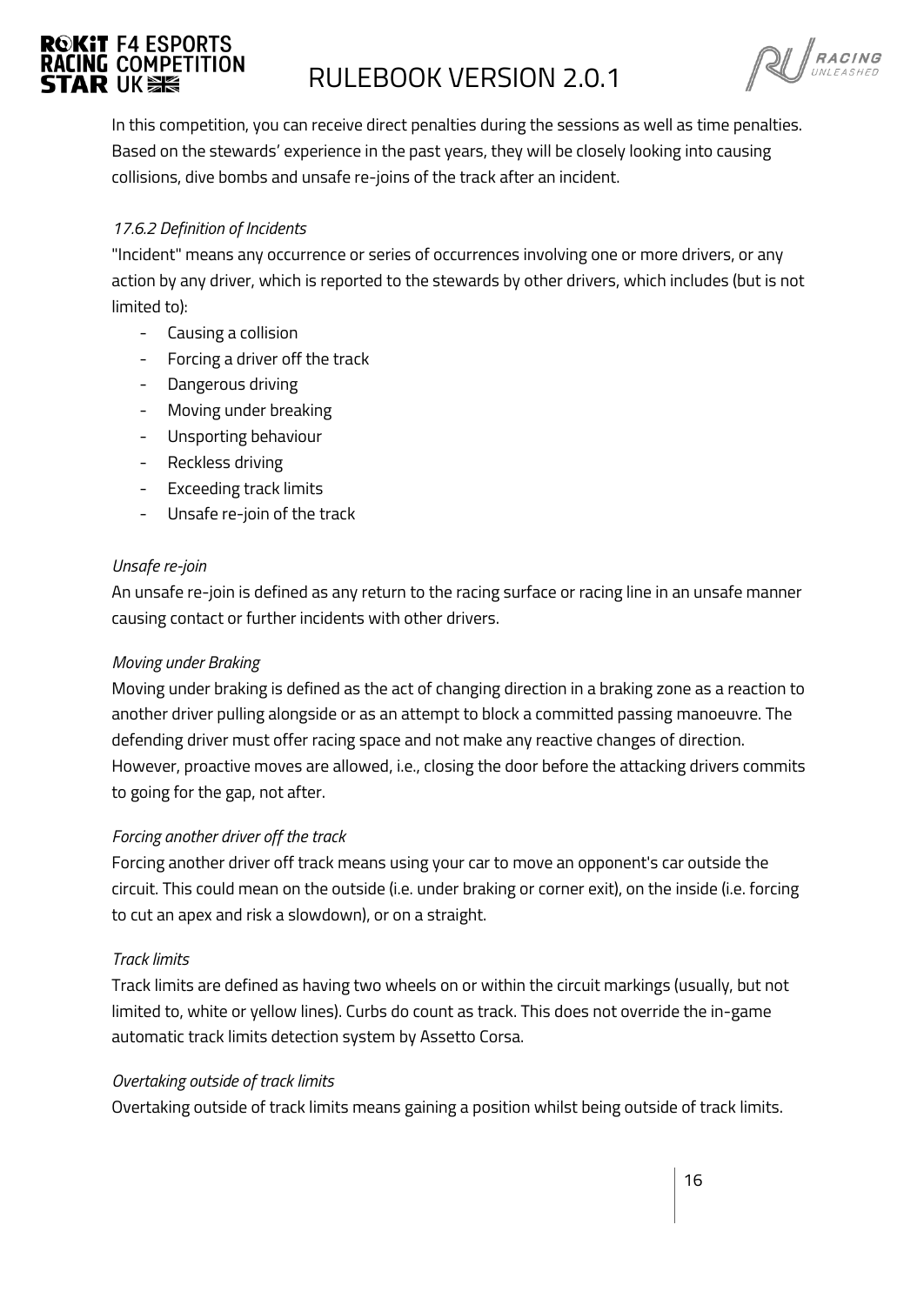# **ROKIT F4 ESPORTS**

## **RACING COMPETITION FOR ALLEBOOK VERSION 2.0.1**

 $\mathbb{Q}$  RACING

In this competition, you can receive direct penalties during the sessions as well as time penalties. Based on the stewards' experience in the past years, they will be closely looking into causing collisions, dive bombs and unsafe re-joins of the track after an incident.

#### *17.6.2 Definition of Incidents*

"Incident" means any occurrence or series of occurrences involving one or more drivers, or any action by any driver, which is reported to the stewards by other drivers, which includes (but is not limited to):

- Causing a collision
- Forcing a driver off the track
- Dangerous driving
- Moving under breaking
- Unsporting behaviour
- Reckless driving
- Exceeding track limits
- Unsafe re-join of the track

#### *Unsafe re-join*

An unsafe re-join is defined as any return to the racing surface or racing line in an unsafe manner causing contact or further incidents with other drivers.

#### *Moving under Braking*

Moving under braking is defined as the act of changing direction in a braking zone as a reaction to another driver pulling alongside or as an attempt to block a committed passing manoeuvre. The defending driver must offer racing space and not make any reactive changes of direction. However, proactive moves are allowed, i.e., closing the door before the attacking drivers commits to going for the gap, not after.

#### *Forcing another driver off the track*

Forcing another driver off track means using your car to move an opponent's car outside the circuit. This could mean on the outside (i.e. under braking or corner exit), on the inside (i.e. forcing to cut an apex and risk a slowdown), or on a straight.

#### *Track limits*

Track limits are defined as having two wheels on or within the circuit markings (usually, but not limited to, white or yellow lines). Curbs do count as track. This does not override the in-game automatic track limits detection system by Assetto Corsa.

#### *Overtaking outside of track limits*

Overtaking outside of track limits means gaining a position whilst being outside of track limits.